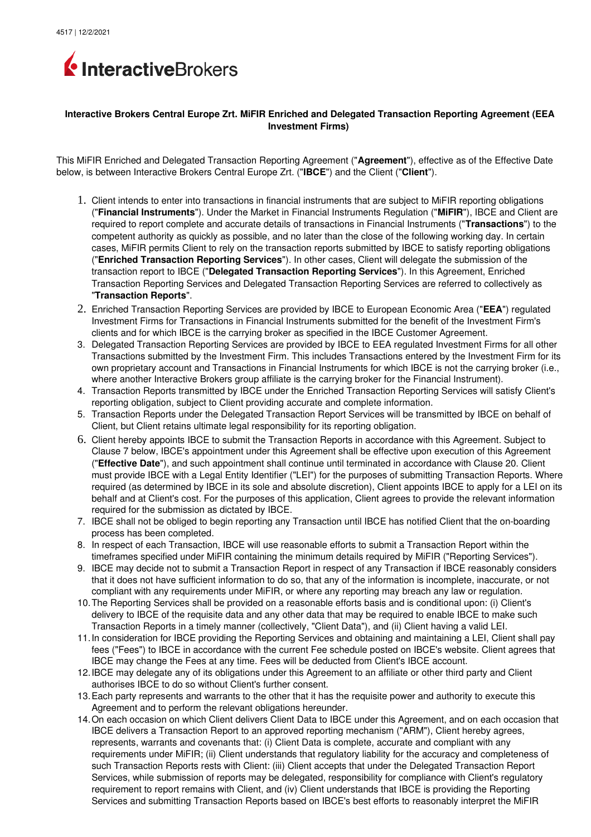

## **Interactive Brokers Central Europe Zrt. MiFIR Enriched and Delegated Transaction Reporting Agreement (EEA Investment Firms)**

This MiFIR Enriched and Delegated Transaction Reporting Agreement ("**Agreement**"), effective as of the Effective Date below, is between Interactive Brokers Central Europe Zrt. ("**IBCE**") and the Client ("**Client**").

- 1. Client intends to enter into transactions in financial instruments that are subject to MiFIR reporting obligations ("**Financial Instruments**"). Under the Market in Financial Instruments Regulation ("**MiFIR**"), IBCE and Client are required to report complete and accurate details of transactions in Financial Instruments ("**Transactions**") to the competent authority as quickly as possible, and no later than the close of the following working day. In certain cases, MiFIR permits Client to rely on the transaction reports submitted by IBCE to satisfy reporting obligations ("**Enriched Transaction Reporting Services**"). In other cases, Client will delegate the submission of the transaction report to IBCE ("**Delegated Transaction Reporting Services**"). In this Agreement, Enriched Transaction Reporting Services and Delegated Transaction Reporting Services are referred to collectively as "**Transaction Reports**".
- 2. Enriched Transaction Reporting Services are provided by IBCE to European Economic Area ("**EEA**") regulated Investment Firms for Transactions in Financial Instruments submitted for the benefit of the Investment Firm's clients and for which IBCE is the carrying broker as specified in the IBCE Customer Agreement.
- 3. Delegated Transaction Reporting Services are provided by IBCE to EEA regulated Investment Firms for all other Transactions submitted by the Investment Firm. This includes Transactions entered by the Investment Firm for its own proprietary account and Transactions in Financial Instruments for which IBCE is not the carrying broker (i.e., where another Interactive Brokers group affiliate is the carrying broker for the Financial Instrument).
- 4. Transaction Reports transmitted by IBCE under the Enriched Transaction Reporting Services will satisfy Client's reporting obligation, subject to Client providing accurate and complete information.
- 5. Transaction Reports under the Delegated Transaction Report Services will be transmitted by IBCE on behalf of Client, but Client retains ultimate legal responsibility for its reporting obligation.
- 6. Client hereby appoints IBCE to submit the Transaction Reports in accordance with this Agreement. Subject to Clause 7 below, IBCE's appointment under this Agreement shall be effective upon execution of this Agreement ("**Effective Date**"), and such appointment shall continue until terminated in accordance with Clause 20. Client must provide IBCE with a Legal Entity Identifier ("LEI") for the purposes of submitting Transaction Reports. Where required (as determined by IBCE in its sole and absolute discretion), Client appoints IBCE to apply for a LEI on its behalf and at Client's cost. For the purposes of this application, Client agrees to provide the relevant information required for the submission as dictated by IBCE.
- 7. IBCE shall not be obliged to begin reporting any Transaction until IBCE has notified Client that the on-boarding process has been completed.
- 8. In respect of each Transaction, IBCE will use reasonable efforts to submit a Transaction Report within the timeframes specified under MiFIR containing the minimum details required by MiFIR ("Reporting Services").
- 9. IBCE may decide not to submit a Transaction Report in respect of any Transaction if IBCE reasonably considers that it does not have sufficient information to do so, that any of the information is incomplete, inaccurate, or not compliant with any requirements under MiFIR, or where any reporting may breach any law or regulation.
- 10.The Reporting Services shall be provided on a reasonable efforts basis and is conditional upon: (i) Client's delivery to IBCE of the requisite data and any other data that may be required to enable IBCE to make such Transaction Reports in a timely manner (collectively, "Client Data"), and (ii) Client having a valid LEI.
- 11.In consideration for IBCE providing the Reporting Services and obtaining and maintaining a LEI, Client shall pay fees ("Fees") to IBCE in accordance with the current Fee schedule posted on IBCE's website. Client agrees that IBCE may change the Fees at any time. Fees will be deducted from Client's IBCE account.
- 12.IBCE may delegate any of its obligations under this Agreement to an affiliate or other third party and Client authorises IBCE to do so without Client's further consent.
- 13.Each party represents and warrants to the other that it has the requisite power and authority to execute this Agreement and to perform the relevant obligations hereunder.
- 14.On each occasion on which Client delivers Client Data to IBCE under this Agreement, and on each occasion that IBCE delivers a Transaction Report to an approved reporting mechanism ("ARM"), Client hereby agrees, represents, warrants and covenants that: (i) Client Data is complete, accurate and compliant with any requirements under MiFIR; (ii) Client understands that regulatory liability for the accuracy and completeness of such Transaction Reports rests with Client: (iii) Client accepts that under the Delegated Transaction Report Services, while submission of reports may be delegated, responsibility for compliance with Client's regulatory requirement to report remains with Client, and (iv) Client understands that IBCE is providing the Reporting Services and submitting Transaction Reports based on IBCE's best efforts to reasonably interpret the MiFIR